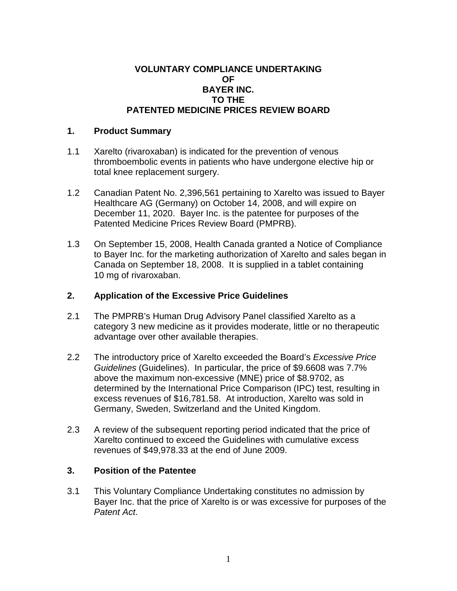## **VOLUNTARY COMPLIANCE UNDERTAKING OF BAYER INC. TO THE PATENTED MEDICINE PRICES REVIEW BOARD**

## **1. Product Summary**

- 1.1 Xarelto (rivaroxaban) is indicated for the prevention of venous thromboembolic events in patients who have undergone elective hip or total knee replacement surgery.
- 1.2 Canadian Patent No. 2,396,561 pertaining to Xarelto was issued to Bayer Healthcare AG (Germany) on October 14, 2008, and will expire on December 11, 2020. Bayer Inc. is the patentee for purposes of the Patented Medicine Prices Review Board (PMPRB).
- 1.3 On September 15, 2008, Health Canada granted a Notice of Compliance to Bayer Inc. for the marketing authorization of Xarelto and sales began in Canada on September 18, 2008. It is supplied in a tablet containing 10 mg of rivaroxaban.

## **2. Application of the Excessive Price Guidelines**

- 2.1 The PMPRB's Human Drug Advisory Panel classified Xarelto as a category 3 new medicine as it provides moderate, little or no therapeutic advantage over other available therapies.
- 2.2 The introductory price of Xarelto exceeded the Board's *Excessive Price Guidelines* (Guidelines). In particular, the price of \$9.6608 was 7.7% above the maximum non-excessive (MNE) price of \$8.9702, as determined by the International Price Comparison (IPC) test, resulting in excess revenues of \$16,781.58. At introduction, Xarelto was sold in Germany, Sweden, Switzerland and the United Kingdom.
- 2.3 A review of the subsequent reporting period indicated that the price of Xarelto continued to exceed the Guidelines with cumulative excess revenues of \$49,978.33 at the end of June 2009.

## **3. Position of the Patentee**

3.1 This Voluntary Compliance Undertaking constitutes no admission by Bayer Inc. that the price of Xarelto is or was excessive for purposes of the *Patent Act*.